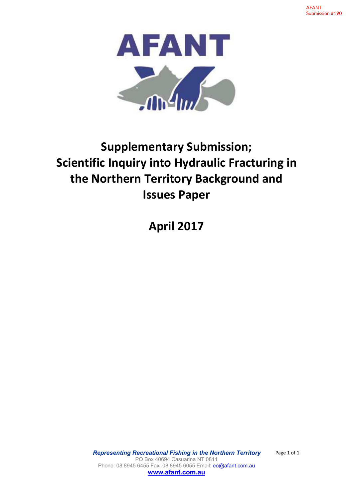

# **Supplementary Submission;**<br>
Supplementary Submission;<br>
c Inquiry into Hydraulic Fracturing in<br>
Issues Paper **Supplementary Submission;**<br>Scientific Inquiry into Hydraulic Fracturing in<br>the Northern Territory Background and<br>Issues Paper<br>April 2017 **the Northern Territory Submission;**<br> **the Northern Territory Background and**<br> **the Northern Territory Background and**<br> **lessues Paper**<br>
April 2017 **Issues Paper ANT**<br> **Apple 1917**<br> **Apple 1918**<br> **April 2017**<br> **April 2017**<br> **April 2017**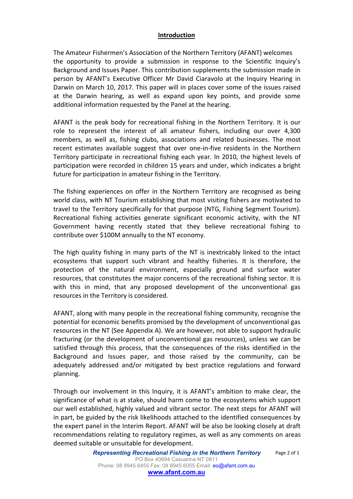### **Introduction**

The Amateur Fishermen's Association of the Northern Territory (AFANT) welcomes the opportunity to provide a submission in response to the Scientific Inquiry's Background and Issues Paper. This contribution supplements the submission made in person by AFANT's Executive Officer Mr David Ciaravolo at the Inquiry Hearing in Darwin on March 10, 2017. This paper will in places cover some of the issues raised at the Darwin hearing, as well as expand upon key points, and provide some additional information requested by the Panel at the hearing.

AFANT is the peak body for recreational fishing in the Northern Territory. It is our role to represent the interest of allamateur fishers, including our over 4,300 members, as well as, fishing clubs, associations and related businesses. The most recent estimates available suggest that over one-in-five residents in the Northern Territory participate in recreational fishing each year. In 2010, the highest levels of participation were recorded in children 15 years and under, which indicates a bright future for participation in amateur fishing in the Territory.

The fishing experiences on offer in the Northern Territory are recognised as being world class, with NT Tourism establishing that most visiting fishers are motivated to travel to the Territory specifically for that purpose (NTG, Fishing Segment Tourism). Recreational fishing activities generate significant economic activity, with the NT Government having recently stated that they believe recreational fishing to contribute over \$100M annually to the NT economy.

The high quality fishing in many parts of the NT is inextricably linked to the intact ecosystems that support such vibrant and healthy fisheries. It is therefore, the protection of the natural environment, especially ground and surface water resources, that constitutes the major concerns of the recreational fishing sector. It is with this in mind, that any proposed development of the unconventional gas resources in the Territory is considered.

AFANT, along with many people in the recreational fishing community, recognise the potential for economic benefits promised by the development of unconventional gas resources in the NT (See Appendix A). We are however, not able to support hydraulic fracturing (or the development of unconventional gas resources), unless we can be satisfied through this process, that the consequences of the risks identified in the Background and Issues paper, and those raised by the community, can be adequately addressed and/or mitigated by best practice regulations and forward planning.

Through our involvement in this Inquiry, it is AFANT's ambition to make clear, the significance of what is at stake, should harm come to the ecosystems which support our well established, highly valued and vibrant sector. The next steps for AFANT will in part, be guided by the risk likelihoods attached to the identified consequences by the expert panel in the Interim Report. AFANT will be also be looking closely at draft recommendations relating to regulatory regimes, as well as any comments on areas deemed suitable or unsuitable for development.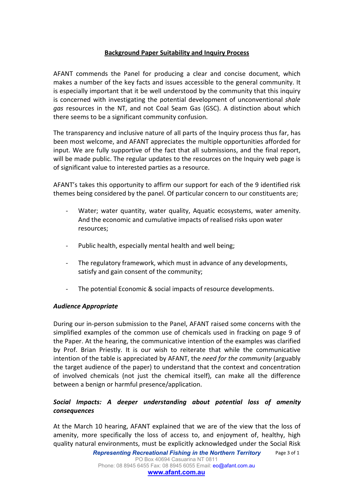# **Background Paper Suitability and Inquiry Process**

AFANT commends the Panel for producing a clear and concise document, which makes a number of the key facts and issues accessible to the general community. It is especially important that it be well understood by the community that this inquiry is concerned with investigating the potential development of unconventional *shale gas* resources in the NT, and not Coal Seam Gas (GSC). A distinction about which there seems to be a significant community confusion.

The transparency and inclusive nature of all parts of the Inquiry process thus far, has been most welcome, and AFANT appreciates the multiple opportunities afforded for input. We are fully supportive of the fact that all submissions, and the final report, will be made public. The regular updates to the resources on the Inquiry web page is of significant value to interested parties as a resource.

AFANT's takes this opportunity to affirm our support for each of the 9 identified risk themes being considered by the panel. Of particular concern to our constituents are;

- Water; water quantity, water quality, Aquatic ecosystems, water amenity. And the economic and cumulative impacts of realised risks upon water resources;
- Public health, especially mental health and well being;
- The regulatory framework, which must in advance of any developments, satisfy and gain consent of the community;
- The potential Economic & social impacts of resource developments.

#### *Audience Appropriate*

During our in-person submission to the Panel, AFANT raised some concerns with the simplified examples of the common use of chemicals used in fracking on page 9 of the Paper. At the hearing, the communicative intention of the examples was clarified by Prof. Brian Priestly. It is our wish to reiterate that while the communicative intention of the table is appreciated by AFANT, the *need for the community* (arguably the target audience of the paper) to understand that the context and concentration of involved chemicals (not just the chemical itself), can make all the difference between a benign or harmful presence/application.

# *Social Impacts: A deeper understanding about potential loss of amenity consequences*

At the March 10 hearing, AFANT explained that we are of the view that the loss of amenity, more specifically the loss of access to, and enjoyment of, healthy, high quality natural environments, must be explicitly acknowledged under the Social Risk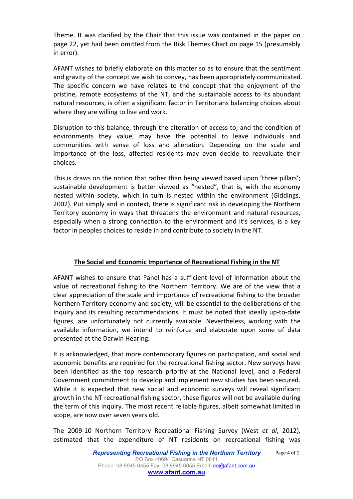Theme. It was clarified by the Chair that this issue was contained in the paper on page 22, yethad been omitted from the Risk Themes Chart on page 15 (presumably in error).

AFANT wishes to briefly elaborate on this matter so as to ensure that the sentiment and gravity of the concept we wish to convey, has been appropriately communicated. The specific concern we have relates to the concept that the enjoyment of the pristine, remote ecosystems of the NT, and the sustainable access to its abundant natural resources, is often a significant factor in Territorians balancing choices about where they are willing to live and work.

Disruption to this balance, through the alteration of access to, and the condition of environments they value, may have the potential to leave individuals and communities with sense of loss and alienation. Depending on the scale and importance of the loss, affected residents may even decide to reevaluate their choices.

This is draws on the notion that rather than being viewed based upon 'three pillars'; sustainable development is better viewed as "nested", that is, with the economy nested within society, which in turn is nested within the environment (Giddings, 2002). Put simply and in context, there is significant risk in developing the Northern Territory economy in ways that threatens the environment and natural resources, especially when a strong connection to the environment and it's services, is a key factor in peoples choices to reside in and contribute to society in the NT.

# **The Social and Economic Importance of Recreational Fishing in the NT**

AFANT wishes to ensure that Panel has a sufficient level of information about the value of recreational fishing to the Northern Territory. We are of the view that a clear appreciation of the scale and importance of recreational fishing to the broader Northern Territory economy and society, will be essential to the deliberations of the Inquiry and its resulting recommendations. It must be noted that ideally up-to-date figures, are unfortunately not currently available. Nevertheless, working with the available information, we intend to reinforce and elaborate upon some of data presented at the Darwin Hearing.

It is acknowledged, that more contemporary figures on participation, and social and economic benefits are required for the recreational fishing sector. New surveys have been identified as the top research priority at the National level, and a Federal Government commitment to develop and implement new studies has been secured. While it is expected that new social and economic surveys will reveal significant growth in the NT recreational fishing sector, these figures will not be available during the term of this inquiry. The most recent reliable figures, albeit somewhat limited in

scope, are now over seven years old.<br>The 2009-10 Northern Territory Recreational Fishing Survey (West *et al*, 2012), estimated that the expenditure of NT residents on recreational fishing was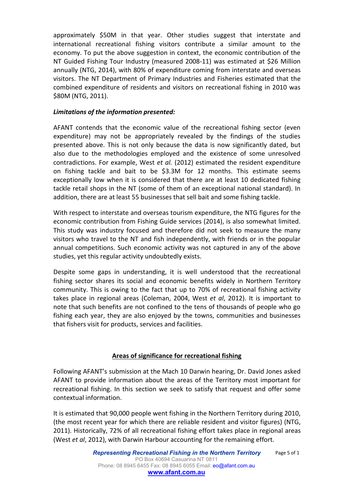approximately \$50M in that year. Other studies suggest that interstate and international recreational fishing visitors contribute a similar amount to the economy. To put the above suggestion in context, the economic contribution of the NT Guided Fishing Tour Industry (measured 2008-11) was estimated at \$26 Million annually (NTG, 2014), with 80% of expenditure coming from interstate and overseas visitors. The NT Department of Primary Industries and Fisheries estimated that the combined expenditure of residents and visitors on recreational fishing in 2010 was \$80M (NTG, 2011).

# *Limitations of the information presented:*

AFANT contends that the economic value of the recreational fishing sector (even expenditure) may not be appropriately revealed by the findings of the studies presented above. This is not only because the data is now significantly dated, but also due to the methodologies employed and the existence of some unresolved contradictions. For example, West *et al.* (2012) estimated the resident expenditure on fishing tackle and bait to be \$3.3M for 12 months. This estimate seems exceptionally low when it is considered that there are at least 10 dedicated fishing tackle retail shops in the NT (some of them of an exceptional national standard). In addition, there are at least 55 businesses that sell bait and some fishing tackle.

With respect to interstate and overseas tourism expenditure, the NTG figures for the economic contribution from Fishing Guide services (2014), is also somewhat limited. This study was industry focused and therefore did not seek to measure the many visitors who travel to the NT and fish independently, with friends or in the popular annual competitions. Such economic activity was not captured in any of the above studies, yet this regular activity undoubtedly exists.

Despite some gaps in understanding, it is well understood that the recreational fishing sector shares its social and economic benefits widely in Northern Territory community. This is owing to the fact that up to 70% of recreational fishing activity takes place in regional areas (Coleman, 2004, West *et al*, 2012). It is important to note that such benefits are not confined to the tens of thousands of people who go fishing each year, they are also enjoyed by the towns, communities and businesses that fishers visit for products, services and facilities.

# **Areas of significance for recreational fishing**

Following AFANT's submission at the Mach 10 Darwin hearing, Dr. David Jones asked AFANT to provide information about the areas of the Territory most important for recreational fishing. In this section we seek to satisfy that request and offer some contextual information.

It is estimated that 90,000 people went fishing in the Northern Territory during 2010, (the most recent year for which there are reliable resident and visitor figures) (NTG, 2011). Historically, 72% of all recreational fishing effort takes place in regional areas (West *et al*, 2012), with Darwin Harbour accounting for the remaining effort.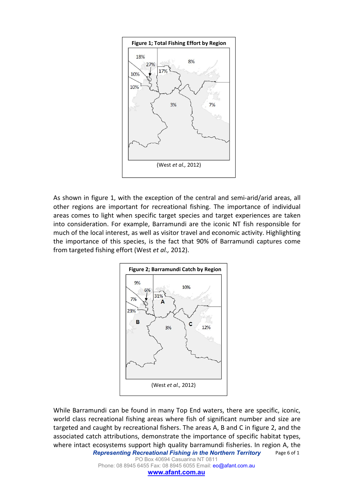

As shown in figure 1, with the exception of the central and semi-arid/arid areas, all other regions are important for recreational fishing. The importance of individual areas comes to light when specific target species and target experiences are taken into consideration. For example, Barramundi are the iconic NT fish responsible for much of the local interest, as well as visitor travel and economic activity. Highlighting the importance of this species, is the fact that 90% of Barramundi captures come from targeted fishing effort(West *et al.,* 2012).



*Representing Recreational Fishing in the Northern Territory* Page 6 of 1 While Barramundi can be found in many Top End waters, there are specific, iconic, world class recreational fishing areas where fish of significant number and size are targeted and caught by recreational fishers. The areas A, B and C in figure 2, and the associated catch attributions, demonstrate the importance of specific habitat types, where intact ecosystems support high quality barramundi fisheries. In region A, the

PO Box 40694 Casuarina NT 0811 Phone: 08 8945 6455 Fax: 08 8945 6055 Email: eo@afant.com.au **[www.afant.com.au](http://www.afant.com.au)**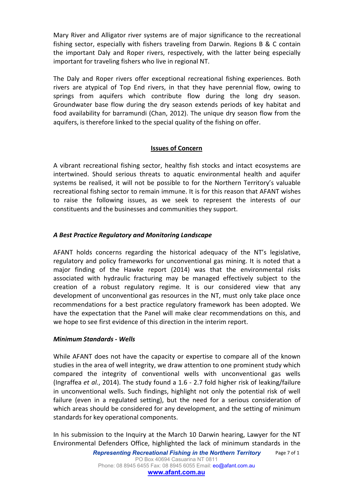Mary River and Alligator river systems are of major significance to the recreational fishing sector, especially with fishers traveling from Darwin. Regions B & C contain the important Daly and Roper rivers, respectively, with the latter being especially important for traveling fishers who live in regional NT.

The Daly and Roper rivers offer exceptional recreational fishing experiences. Both rivers are atypical of Top End rivers, in that they have perennial flow, owing to springs from aquifers which contribute flow during the long dry season.<br>Groundwater base flow during the dry season extends periods of key habitat and food availability for barramundi (Chan, 2012). The unique dry season flow from the aquifers, is therefore linked to the special quality of the fishing on offer.

#### **Issues of Concern**

A vibrant recreational fishing sector, healthy fish stocks and intact ecosystems are intertwined. Should serious threats to aquatic environmental health and aquifer systems be realised, it will not be possible to for the Northern Territory's valuable recreational fishing sector to remain immune. It is for this reason that AFANT wishes to raise the following issues, as we seek to represent the interests of our constituents and the businesses and communities they support.

# *A Best Practice Regulatory and Monitoring Landscape*

AFANT holds concerns regarding the historical adequacy of the NT's legislative, regulatory and policy frameworks for unconventional gas mining. It is noted that a major finding of the Hawke report (2014) was that the environmental risks associated with hydraulic fracturing may be managed effectively subject to the creation of a robust regulatory regime. It is our considered view that any development of unconventional gas resources in the NT, must only take place once recommendations for a best practice regulatory framework has been adopted. We have the expectation that the Panel will make clear recommendations on this, and we hope to see first evidence of this direction in the interim report.

#### *Minimum Standards - Wells*

While AFANT does not have the capacity or expertise to compare all of the known studies in the area of well integrity, we draw attention to one prominent study which compared the integrity of conventional wells with unconventional gas wells (Ingraffea *et al.*, 2014). The study found a 1.6 - 2.7 fold higher risk of leaking/failure in unconventional wells. Such findings, highlight not only the potential risk of well failure (even in a regulated setting), but the need for a serious consideration of which areas should be considered for any development, and the setting of minimum standards for key operational components.

In his submission to the Inquiry at the March 10 Darwin hearing, Lawyer for the NT Environmental Defenders Office, highlighted the lack of minimum standards in the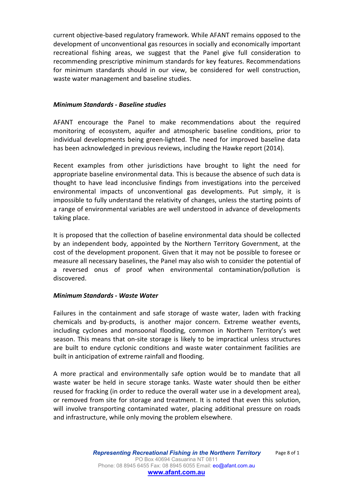current objective-based regulatory framework. While AFANT remains opposed to the development of unconventional gas resources in socially and economically important recreational fishing areas, we suggest that the Panel give full consideration to recommending prescriptive minimum standards for key features. Recommendations for minimum standards should in our view, be considered for well construction, waste water management and baseline studies.

#### *Minimum Standards - Baseline studies*

AFANT encourage the Panel to make recommendations about the required monitoring of ecosystem, aquifer and atmospheric baseline conditions, prior to individual developments being green-lighted. The need for improved baseline data has been acknowledged in previous reviews, including the Hawke report (2014).

Recent examples from other jurisdictions have brought to light the need for appropriate baseline environmental data. This is because the absence of such data is thought to have lead inconclusive findings from investigations into the perceived environmental impacts of unconventional gas developments. Put simply, it is impossible to fully understand the relativity of changes, unless the starting points of a range of environmental variables are well understood in advance of developments taking place.

It is proposed that the collection of baseline environmental data should be collected by an independent body, appointed by the Northern Territory Government, at the cost of the development proponent. Given that it may not be possible to foresee or measure all necessary baselines, the Panel may also wish to consider the potential of a reversed onus of proof when environmental contamination/pollution is discovered.

#### *Minimum Standards - Waste Water*

Failures in the containment and safe storage of waste water, laden with fracking chemicals and by-products, is another major concern. Extreme weather events, including cyclones and monsoonal flooding, common in Northern Territory's wet season. This means that on-site storage is likely to be impractical unless structures are built to endure cyclonic conditions and waste water containment facilities are built in anticipation of extreme rainfall and flooding.

A more practical and environmentally safe option would be to mandate that all waste water be held in secure storage tanks. Waste water should then be either reused for fracking (in order to reduce the overall water use in a development area), or removed from site for storage and treatment. It is noted that even this solution, will involve transporting contaminated water, placing additional pressure on roads and infrastructure, while only moving the problem elsewhere.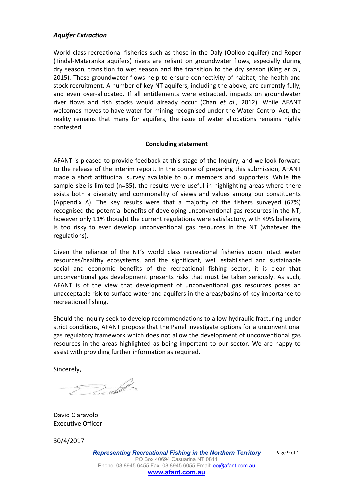#### *Aquifer Extraction*

World class recreational fisheries such as those in the Daly (Oolloo aquifer) and Roper (Tindal-Mataranka aquifers) rivers are reliant on groundwater flows, especially during dry season, transition to wet season and the transition to the dry season (King *et al.,*2015). These groundwater flows help to ensure connectivity of habitat, the health and stock recruitment. A number of key NT aquifers, including the above, are currently fully, and even over-allocated. If all entitlements were extracted, impacts on groundwater river flows and fish stocks would already occur (Chan *et al*., 2012). While AFANT welcomes moves to have water for mining recognised under the Water Control Act, the reality remains that many for aquifers, the issue of water allocations remains highly contested.

#### **Concluding statement**

AFANT is pleased to provide feedback at this stage of the Inquiry, and we look forward to the release of the interim report. In the course of preparing this submission, AFANT made a short attitudinal survey available to our members and supporters. While the sample size is limited (n=85), the results were useful in highlighting areas where there exists both a diversity and commonality of views and values among our constituents (Appendix A). The key results were that a majority of the fishers surveyed (67%) recognised the potential benefits of developing unconventional gas resources in the NT, however only 11% thought the current regulations were satisfactory, with 49% believing is too risky to ever develop unconventional gas resources in the NT (whatever the regulations).

Given the reliance of the NT's world class recreational fisheries upon intact water resources/healthy ecosystems, and the significant, well established and sustainable social and economic benefits of the recreational fishing sector, it is clear that unconventional gas development presents risks that must be taken seriously. As such, AFANT is of the view that development of unconventional gas resources poses an unacceptable risk to surface water and aquifers in the areas/basins of key importance to recreational fishing.

Should the Inquiry seek to develop recommendations to allow hydraulic fracturing under strict conditions, AFANT propose that the Panel investigate options for a unconventional gas regulatory framework which does not allow the development of unconventional gas resources in the areas highlighted as being important to our sector. We are happy to assist with providing further information as required.

Sincerely,

Du S

David Ciaravolo Executive Officer

30/4/2017

*Representing Recreational Fishing in the Northern Territory* PO Box 40694 Casuarina NT 0811 Phone: 08 8945 6455 Fax: 08 8945 6055 Email: eo@afant.com.au **[www.afant.com.au](http://www.afant.com.au)**

Page 9 of 1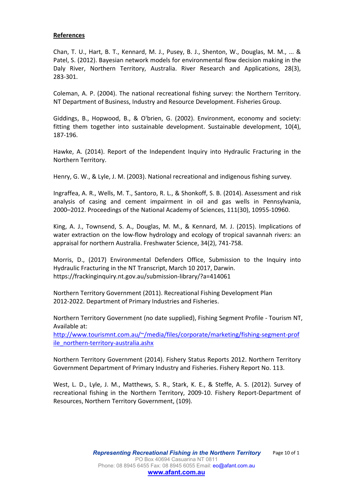#### **References**

Chan, T. U., Hart, B. T., Kennard, M. J., Pusey, B. J., Shenton, W., Douglas, M. M., ... & Patel, S. (2012). Bayesian network models for environmental flow decision making in the Daly River, Northern Territory, Australia. River Research and Applications, 28(3), 283-301.

Coleman, A. P. (2004). The national recreational fishing survey: the Northern Territory. NT Department of Business, Industry and Resource Development. Fisheries Group.

Giddings, B., Hopwood, B., & O'brien, G. (2002). Environment, economy and society: fitting them together into sustainable development. Sustainable development, 10(4), 187-196.

Hawke, A. (2014). Report of the Independent Inquiry into Hydraulic Fracturing in the Northern Territory.

Henry, G. W., & Lyle, J. M. (2003). National recreational and indigenous fishing survey.

Ingraffea, A. R., Wells, M. T., Santoro, R. L., & Shonkoff, S. B. (2014). Assessment and risk analysis of casing and cement impairment in oil and gas wells in Pennsylvania, 2000–2012. Proceedings of the National Academy of Sciences, 111(30), 10955-10960.

King, A. J., Townsend, S. A., Douglas, M. M., & Kennard, M. J. (2015). Implications of water extraction on the low-flow hydrology and ecology of tropical savannah rivers: an appraisal for northern Australia. Freshwater Science, 34(2), 741-758.

Morris, D., (2017) Environmental Defenders Office, Submission to the Inquiry into Hydraulic Fracturing in the NT Transcript, March 10 2017, Darwin. https://frackinginquiry.nt.gov.au/submission-library/?a=414061

Northern Territory Government (2011). Recreational Fishing Development Plan 2012-2022. Department of Primary Industries and Fisheries.

Northern Territory Government (no date supplied), Fishing Segment Profile - Tourism NT, Available at:

[http://www.tourismnt.com.au/~/media/files/corporate/marketing/fishing-segment-prof](http://www.tourismnt.com.au/~/media/files/corporate/marketing/fishing-segment-profile_northern-territory-australia.ashx) [ile\\_northern-territory-australia.ashx](http://www.tourismnt.com.au/~/media/files/corporate/marketing/fishing-segment-profile_northern-territory-australia.ashx)

Northern Territory Government (2014). Fishery Status Reports 2012. Northern Territory Government Department of Primary Industry and Fisheries. Fishery Report No. 113.

West, L. D., Lyle, J. M., Matthews, S. R., Stark, K. E., & Steffe, A. S. (2012). Survey of recreational fishing in the Northern Territory, 2009-10. Fishery Report-Department of Resources, Northern Territory Government, (109).